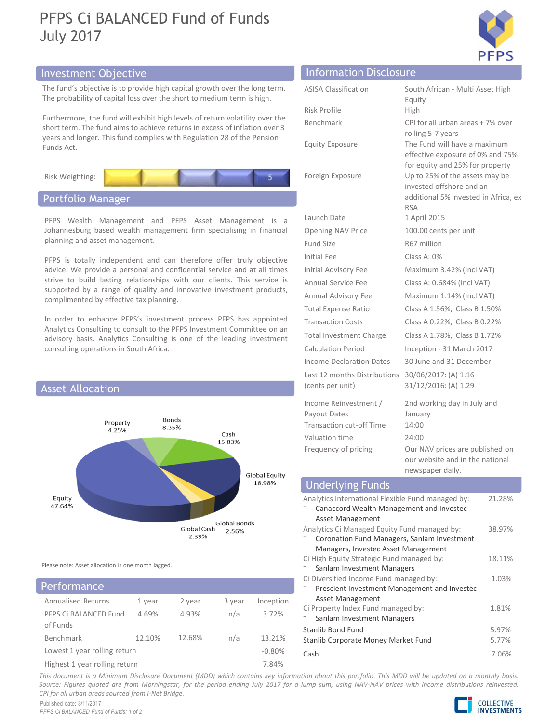# PFPS Ci BALANCED Fund of Funds July 2017



## Investment Objective





Please note: Asset allocation is one month lagged.

| Performance                              |        |        | Ci Diversified Income Fund managed by:<br>Prescient Investment Management and Investec |           |                                                                  |  |
|------------------------------------------|--------|--------|----------------------------------------------------------------------------------------|-----------|------------------------------------------------------------------|--|
| <b>Annualised Returns</b>                | 1 year | 2 year | 3 year                                                                                 | Inception | Asset Management                                                 |  |
| PFPS Ci BALANCED Fund                    | 4.69%  | 4.93%  | n/a                                                                                    | 3.72%     | Ci Property Index Fund managed by:<br>Sanlam Investment Managers |  |
| of Funds                                 |        |        |                                                                                        |           | Stanlib Bond Fund                                                |  |
| Benchmark                                | 12.10% | 12.68% | n/a                                                                                    | 13.21%    | Stanlib Corporate Money Market Fund                              |  |
| Lowest 1 year rolling return<br>$-0.80%$ |        |        |                                                                                        |           | Cash                                                             |  |
| Highest 1 year rolling return            |        |        |                                                                                        | 7.84%     |                                                                  |  |

|                                                                                                                                                                                                                                    |                                                                   | <b>PFPS</b>                                                                                         |  |  |
|------------------------------------------------------------------------------------------------------------------------------------------------------------------------------------------------------------------------------------|-------------------------------------------------------------------|-----------------------------------------------------------------------------------------------------|--|--|
| nvestment Objective                                                                                                                                                                                                                | <b>Information Disclosure</b>                                     |                                                                                                     |  |  |
| The fund's objective is to provide high capital growth over the long term.<br>The probability of capital loss over the short to medium term is high.                                                                               | <b>ASISA Classification</b>                                       | South African - Multi Asset High<br>Equity                                                          |  |  |
| urthermore, the fund will exhibit high levels of return volatility over the<br>short term. The fund aims to achieve returns in excess of inflation over 3<br>ears and longer. This fund complies with Regulation 28 of the Pension | Risk Profile<br>Benchmark                                         | <b>High</b><br>CPI for all urban areas + 7% over<br>rolling 5-7 years                               |  |  |
| unds Act.                                                                                                                                                                                                                          | <b>Equity Exposure</b>                                            | The Fund will have a maximum<br>effective exposure of 0% and 75%<br>for equity and 25% for property |  |  |
| Risk Weighting:                                                                                                                                                                                                                    | Foreign Exposure                                                  | Up to 25% of the assets may be<br>invested offshore and an<br>additional 5% invested in Africa, ex  |  |  |
| Portfolio Manager                                                                                                                                                                                                                  |                                                                   | <b>RSA</b>                                                                                          |  |  |
| PFPS Wealth Management and PFPS Asset Management is a                                                                                                                                                                              | Launch Date                                                       | 1 April 2015                                                                                        |  |  |
| Johannesburg based wealth management firm specialising in financial<br>planning and asset management.                                                                                                                              | Opening NAV Price<br>Fund Size                                    | 100.00 cents per unit<br>R67 million                                                                |  |  |
| PFPS is totally independent and can therefore offer truly objective                                                                                                                                                                | Initial Fee                                                       | Class A: 0%                                                                                         |  |  |
| advice. We provide a personal and confidential service and at all times<br>strive to build lasting relationships with our clients. This service is                                                                                 | Initial Advisory Fee                                              | Maximum 3.42% (Incl VAT)                                                                            |  |  |
| supported by a range of quality and innovative investment products,                                                                                                                                                                | Annual Service Fee<br>Annual Advisory Fee                         | Class A: 0.684% (Incl VAT)<br>Maximum 1.14% (Incl VAT)                                              |  |  |
| complimented by effective tax planning.                                                                                                                                                                                            | <b>Total Expense Ratio</b>                                        | Class A 1.56%, Class B 1.50%                                                                        |  |  |
| In order to enhance PFPS's investment process PFPS has appointed                                                                                                                                                                   | <b>Transaction Costs</b>                                          | Class A 0.22%, Class B 0.22%                                                                        |  |  |
| Analytics Consulting to consult to the PFPS Investment Committee on an<br>advisory basis. Analytics Consulting is one of the leading investment                                                                                    | <b>Total Investment Charge</b>                                    | Class A 1.78%, Class B 1.72%                                                                        |  |  |
| consulting operations in South Africa.                                                                                                                                                                                             | <b>Calculation Period</b>                                         | Inception - 31 March 2017                                                                           |  |  |
|                                                                                                                                                                                                                                    | Income Declaration Dates                                          | 30 June and 31 December                                                                             |  |  |
| <b>Asset Allocation</b>                                                                                                                                                                                                            | Last 12 months Distributions<br>(cents per unit)                  | 30/06/2017: (A) 1.16<br>31/12/2016: (A) 1.29                                                        |  |  |
| Bonds<br>Property<br>8.35%                                                                                                                                                                                                         | Income Reinvestment /<br>Payout Dates<br>Transaction cut-off Time | 2nd working day in July and<br>January<br>14:00                                                     |  |  |
| 4.25%<br>Cash<br>15.83%                                                                                                                                                                                                            | Valuation time                                                    | 24:00                                                                                               |  |  |
|                                                                                                                                                                                                                                    | Frequency of pricing                                              | Our NAV prices are published on<br>our website and in the national<br>newspaper daily.              |  |  |
|                                                                                                                                                                                                                                    |                                                                   |                                                                                                     |  |  |

## (cents per unit)  $31/12/2016$ : (A) 1.29<br>
Homon Reinvestment / and movies are unit) and in a say the security of the metric of Time<br>
1.683% Transctor out GTime<br>
1.683% 1.93% Transctor out GTime<br>
1.683% 1.99% between the ne Benchmark 12.10% 12.68% n/a 13.21% Valuation times<br>
Valuation the compact of pricing  $24.30\%$ <br>
Trecency of pricing  $24.3\%$ <br>
Trecency of pricing  $24.3\%$ <br>
Analytics international Fiestbe Fund managed by:<br>
Analytics international Fiestbe Fund managed by:<br> Analytics International Flexible Fund managed by: ⁻ Canaccord Wealth Management and Investec Asset Management 21.28% Analytics Ci Managed Equity Fund managed by: ⁻ Coronation Fund Managers, Sanlam Investment Managers, Investec Asset Management 38.97% Ci High Equity Strategic Fund managed by: Calculation Period<br>
Calculation Period<br>
Inception - 31 March 2017<br>
Income Declaration Dates<br>
30 June and 31 December<br>
Last 12 months Distributions 30/06/2017: (A) 1.16<br>
(cents per unit)<br>
31/12/2016: (A) 1.29<br>
Income Reinve 18.11% Ci Diversified Income Fund managed by: 1.03% ⁻ Prescient Investment Management and Investec Asset Management 1.03% Ci Property Index Fund managed by: From Relineation Managers and More Theorem and Relineation of David Care and Working day in July and Payout Dates and the anity Transaction cut-off Time 14:00<br>
Frequency of pricing anity and anity prices are published on 1.81% Stanlib Bond Fund 5.97% Stanlib Corporate Money Market Fund 5.77% Cash 7.06% Frequency of pricing Counsel Equity<br>
This document is a Minimum Disclosure Document (MDD) which contains a Minimum Disclosure Document (MDD) which contains a month about this portfolio. This margin disclosure Document (MDD Source: Figure 11.10%<br>
Source: Figure 3.100 (and More 2017)<br>
Source: Figure 2018)<br>
Consider a lump sum and Heading Hammed Britain Heading Hammed Street Analytics Changement and Howester<br>
Analytics Changement and Howester<br> Equity<br>
47.64%<br>
Equity<br>
47.64%<br>
Analytics international Fiexible Fund managed by:<br>
Analytics international Fiexible Fund managed by:<br>
Please note: Asset Management<br>
Please note: Asset Management<br>
Please note: Asset Managem Underlying Funds

Published date: 8/11/2017 PFPS Ci BALANCED Fund of Funds: 1 of 2